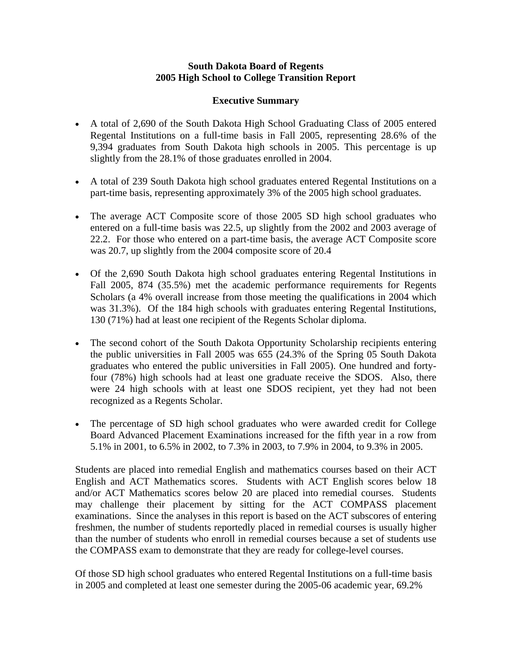## **South Dakota Board of Regents 2005 High School to College Transition Report**

## **Executive Summary**

- A total of 2,690 of the South Dakota High School Graduating Class of 2005 entered Regental Institutions on a full-time basis in Fall 2005, representing 28.6% of the 9,394 graduates from South Dakota high schools in 2005. This percentage is up slightly from the 28.1% of those graduates enrolled in 2004.
- A total of 239 South Dakota high school graduates entered Regental Institutions on a part-time basis, representing approximately 3% of the 2005 high school graduates.
- The average ACT Composite score of those 2005 SD high school graduates who entered on a full-time basis was 22.5, up slightly from the 2002 and 2003 average of 22.2. For those who entered on a part-time basis, the average ACT Composite score was 20.7, up slightly from the 2004 composite score of 20.4
- Of the 2,690 South Dakota high school graduates entering Regental Institutions in Fall 2005, 874 (35.5%) met the academic performance requirements for Regents Scholars (a 4% overall increase from those meeting the qualifications in 2004 which was 31.3%). Of the 184 high schools with graduates entering Regental Institutions, 130 (71%) had at least one recipient of the Regents Scholar diploma.
- The second cohort of the South Dakota Opportunity Scholarship recipients entering the public universities in Fall 2005 was 655 (24.3% of the Spring 05 South Dakota graduates who entered the public universities in Fall 2005). One hundred and fortyfour (78%) high schools had at least one graduate receive the SDOS. Also, there were 24 high schools with at least one SDOS recipient, yet they had not been recognized as a Regents Scholar.
- The percentage of SD high school graduates who were awarded credit for College Board Advanced Placement Examinations increased for the fifth year in a row from 5.1% in 2001, to 6.5% in 2002, to 7.3% in 2003, to 7.9% in 2004, to 9.3% in 2005.

Students are placed into remedial English and mathematics courses based on their ACT English and ACT Mathematics scores. Students with ACT English scores below 18 and/or ACT Mathematics scores below 20 are placed into remedial courses. Students may challenge their placement by sitting for the ACT COMPASS placement examinations. Since the analyses in this report is based on the ACT subscores of entering freshmen, the number of students reportedly placed in remedial courses is usually higher than the number of students who enroll in remedial courses because a set of students use the COMPASS exam to demonstrate that they are ready for college-level courses.

Of those SD high school graduates who entered Regental Institutions on a full-time basis in 2005 and completed at least one semester during the 2005-06 academic year, 69.2%